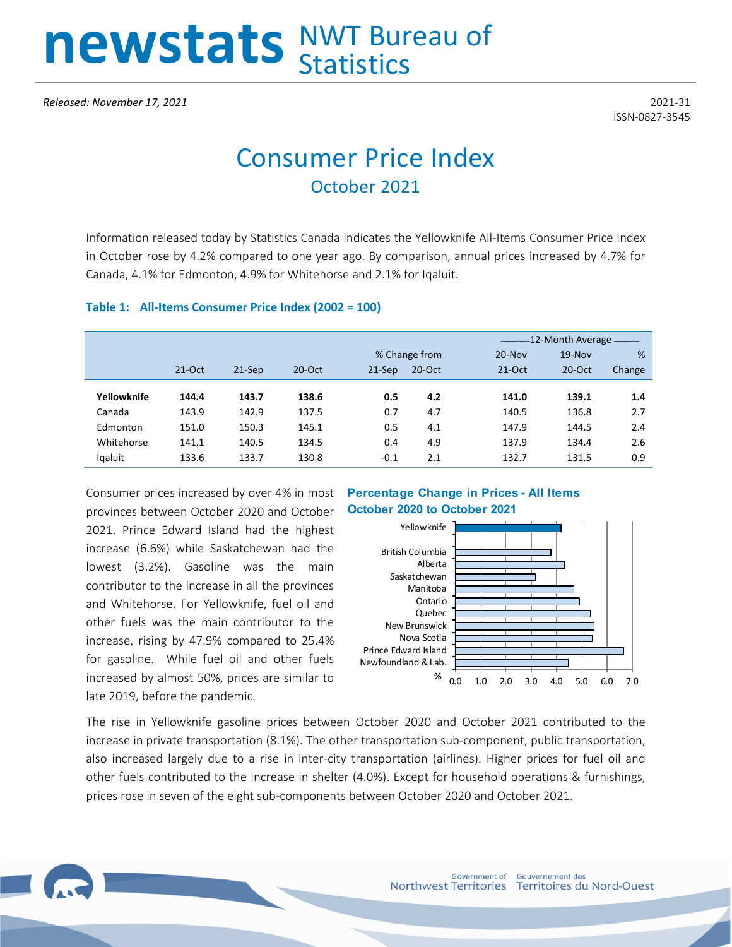# newstats NWT Bureau of

ISSN-0827-3545

# Consumer Price Index October 2021

Information released today by Statistics Canada indicates the Yellowknife All-Items Consumer Price Index in October rose by 4.2% compared to one year ago. By comparison, annual prices increased by 4.7% for Canada, 4.1% for Edmonton, 4.9% for Whitehorse and 2.1% for Iqaluit.

#### **Table 1: All-Items Consumer Price Index (2002 = 100)**

|             |          |          |          |          |               | -12-Month Average ------- |           |        |  |
|-------------|----------|----------|----------|----------|---------------|---------------------------|-----------|--------|--|
|             |          |          |          |          | % Change from | $20 - Nov$                | $19-Nov$  | %      |  |
|             | $21-Oct$ | $21-Sep$ | $20-Oct$ | $21-Sep$ | $20-Oct$      | $21-Oct$                  | $20$ -Oct | Change |  |
|             |          |          |          |          |               |                           |           |        |  |
| Yellowknife | 144.4    | 143.7    | 138.6    | 0.5      | 4.2           | 141.0                     | 139.1     | 1.4    |  |
| Canada      | 143.9    | 142.9    | 137.5    | 0.7      | 4.7           | 140.5                     | 136.8     | 2.7    |  |
| Edmonton    | 151.0    | 150.3    | 145.1    | 0.5      | 4.1           | 147.9                     | 144.5     | 2.4    |  |
| Whitehorse  | 141.1    | 140.5    | 134.5    | 0.4      | 4.9           | 137.9                     | 134.4     | 2.6    |  |
| Igaluit     | 133.6    | 133.7    | 130.8    | $-0.1$   | 2.1           | 132.7                     | 131.5     | 0.9    |  |

Consumer prices increased by over 4% in most provinces between October 2020 and October 2021. Prince Edward Island had the highest increase (6.6%) while Saskatchewan had the lowest (3.2%). Gasoline was the main contributor to the increase in all the provinces and Whitehorse. For Yellowknife, fuel oil and other fuels was the main contributor to the increase, rising by 47.9% compared to 25.4% for gasoline. While fuel oil and other fuels increased by almost 50%, prices are similar to late 2019, before the pandemic.

## **Percentage Change in Prices - All Items October 2020 to October 2021**



The rise in Yellowknife gasoline prices between October 2020 and October 2021 contributed to the increase in private transportation (8.1%). The other transportation sub-component, public transportation, also increased largely due to a rise in inter-city transportation (airlines). Higher prices for fuel oil and other fuels contributed to the increase in shelter (4.0%). Except for household operations & furnishings, prices rose in seven of the eight sub-components between October 2020 and October 2021.